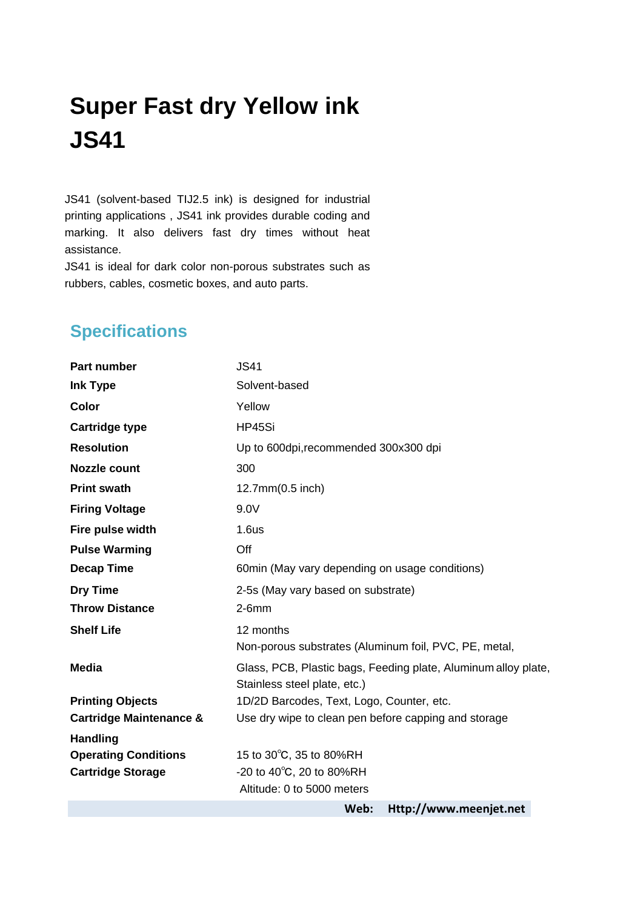## **Super Fast dry Yellow ink JS41**

JS41 (solvent-based TIJ2.5 ink) is designed for industrial printing applications , JS41 ink provides durable coding and marking. It also delivers fast dry times without heat assistance.

JS41 is ideal for dark color non-porous substrates such as rubbers, cables, cosmetic boxes, and auto parts.

## **Specifications**

| Part number                        | <b>JS41</b>                                                    |  |
|------------------------------------|----------------------------------------------------------------|--|
| <b>Ink Type</b>                    | Solvent-based                                                  |  |
| Color                              | Yellow                                                         |  |
| <b>Cartridge type</b>              | HP45Si                                                         |  |
| <b>Resolution</b>                  | Up to 600dpi, recommended 300x300 dpi                          |  |
| <b>Nozzle count</b>                | 300                                                            |  |
| <b>Print swath</b>                 | 12.7mm(0.5 inch)                                               |  |
| <b>Firing Voltage</b>              | 9.0V                                                           |  |
| Fire pulse width                   | 1.6us                                                          |  |
| <b>Pulse Warming</b>               | Off                                                            |  |
| <b>Decap Time</b>                  | 60min (May vary depending on usage conditions)                 |  |
| <b>Dry Time</b>                    | 2-5s (May vary based on substrate)                             |  |
| <b>Throw Distance</b>              | $2-6mm$                                                        |  |
| <b>Shelf Life</b>                  | 12 months                                                      |  |
|                                    | Non-porous substrates (Aluminum foil, PVC, PE, metal,          |  |
| <b>Media</b>                       | Glass, PCB, Plastic bags, Feeding plate, Aluminum alloy plate, |  |
|                                    | Stainless steel plate, etc.)                                   |  |
| <b>Printing Objects</b>            | 1D/2D Barcodes, Text, Logo, Counter, etc.                      |  |
| <b>Cartridge Maintenance &amp;</b> | Use dry wipe to clean pen before capping and storage           |  |
| <b>Handling</b>                    |                                                                |  |
| <b>Operating Conditions</b>        | 15 to 30°C, 35 to 80%RH                                        |  |
| <b>Cartridge Storage</b>           | -20 to 40°C, 20 to 80%RH                                       |  |
|                                    | Altitude: 0 to 5000 meters                                     |  |
|                                    | Web:<br>Http://www.meenjet.net                                 |  |